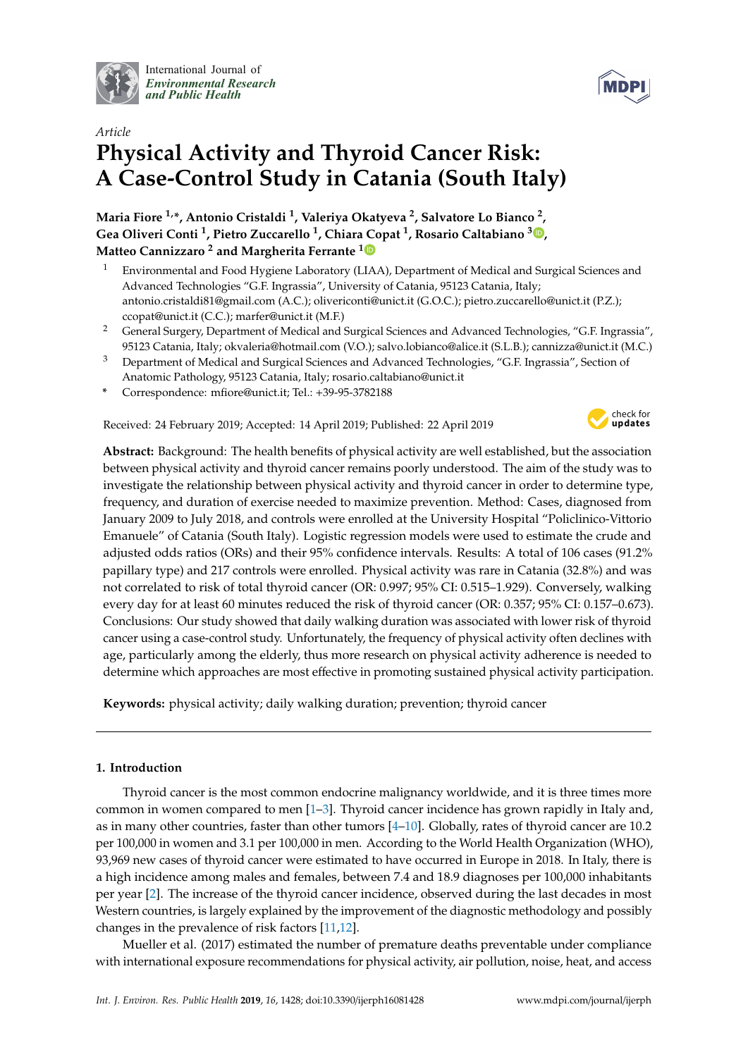

International Journal of *[Environmental Research](http://www.mdpi.com/journal/ijerph) and Public Health*

# *Article* **Physical Activity and Thyroid Cancer Risk: A Case-Control Study in Catania (South Italy)**

**Maria Fiore 1,\*, Antonio Cristaldi <sup>1</sup> , Valeriya Okatyeva <sup>2</sup> , Salvatore Lo Bianco <sup>2</sup> , Gea Oliveri Conti <sup>1</sup> , Pietro Zuccarello <sup>1</sup> , Chiara Copat <sup>1</sup> , Rosario Caltabiano [3](https://orcid.org/0000-0001-8591-8010) , Matteo Cannizzaro <sup>2</sup> and Margherita Ferrante [1](https://orcid.org/0000-0001-7596-2464)**

- <sup>1</sup> Environmental and Food Hygiene Laboratory (LIAA), Department of Medical and Surgical Sciences and Advanced Technologies "G.F. Ingrassia", University of Catania, 95123 Catania, Italy; antonio.cristaldi81@gmail.com (A.C.); olivericonti@unict.it (G.O.C.); pietro.zuccarello@unict.it (P.Z.); ccopat@unict.it (C.C.); marfer@unict.it (M.F.)
- <sup>2</sup> General Surgery, Department of Medical and Surgical Sciences and Advanced Technologies, "G.F. Ingrassia", 95123 Catania, Italy; okvaleria@hotmail.com (V.O.); salvo.lobianco@alice.it (S.L.B.); cannizza@unict.it (M.C.)
- <sup>3</sup> Department of Medical and Surgical Sciences and Advanced Technologies, "G.F. Ingrassia", Section of Anatomic Pathology, 95123 Catania, Italy; rosario.caltabiano@unict.it
- **\*** Correspondence: mfiore@unict.it; Tel.: +39-95-3782188

Received: 24 February 2019; Accepted: 14 April 2019; Published: 22 April 2019



**Abstract:** Background: The health benefits of physical activity are well established, but the association between physical activity and thyroid cancer remains poorly understood. The aim of the study was to investigate the relationship between physical activity and thyroid cancer in order to determine type, frequency, and duration of exercise needed to maximize prevention. Method: Cases, diagnosed from January 2009 to July 2018, and controls were enrolled at the University Hospital "Policlinico-Vittorio Emanuele" of Catania (South Italy). Logistic regression models were used to estimate the crude and adjusted odds ratios (ORs) and their 95% confidence intervals. Results: A total of 106 cases (91.2% papillary type) and 217 controls were enrolled. Physical activity was rare in Catania (32.8%) and was not correlated to risk of total thyroid cancer (OR: 0.997; 95% CI: 0.515–1.929). Conversely, walking every day for at least 60 minutes reduced the risk of thyroid cancer (OR: 0.357; 95% CI: 0.157–0.673). Conclusions: Our study showed that daily walking duration was associated with lower risk of thyroid cancer using a case-control study. Unfortunately, the frequency of physical activity often declines with age, particularly among the elderly, thus more research on physical activity adherence is needed to determine which approaches are most effective in promoting sustained physical activity participation.

**Keywords:** physical activity; daily walking duration; prevention; thyroid cancer

# **1. Introduction**

Thyroid cancer is the most common endocrine malignancy worldwide, and it is three times more common in women compared to men [\[1–](#page-5-0)[3\]](#page-5-1). Thyroid cancer incidence has grown rapidly in Italy and, as in many other countries, faster than other tumors [\[4](#page-5-2)[–10\]](#page-5-3). Globally, rates of thyroid cancer are 10.2 per 100,000 in women and 3.1 per 100,000 in men. According to the World Health Organization (WHO), 93,969 new cases of thyroid cancer were estimated to have occurred in Europe in 2018. In Italy, there is a high incidence among males and females, between 7.4 and 18.9 diagnoses per 100,000 inhabitants per year [\[2\]](#page-5-4). The increase of the thyroid cancer incidence, observed during the last decades in most Western countries, is largely explained by the improvement of the diagnostic methodology and possibly changes in the prevalence of risk factors [\[11,](#page-6-0)[12\]](#page-6-1).

Mueller et al. (2017) estimated the number of premature deaths preventable under compliance with international exposure recommendations for physical activity, air pollution, noise, heat, and access

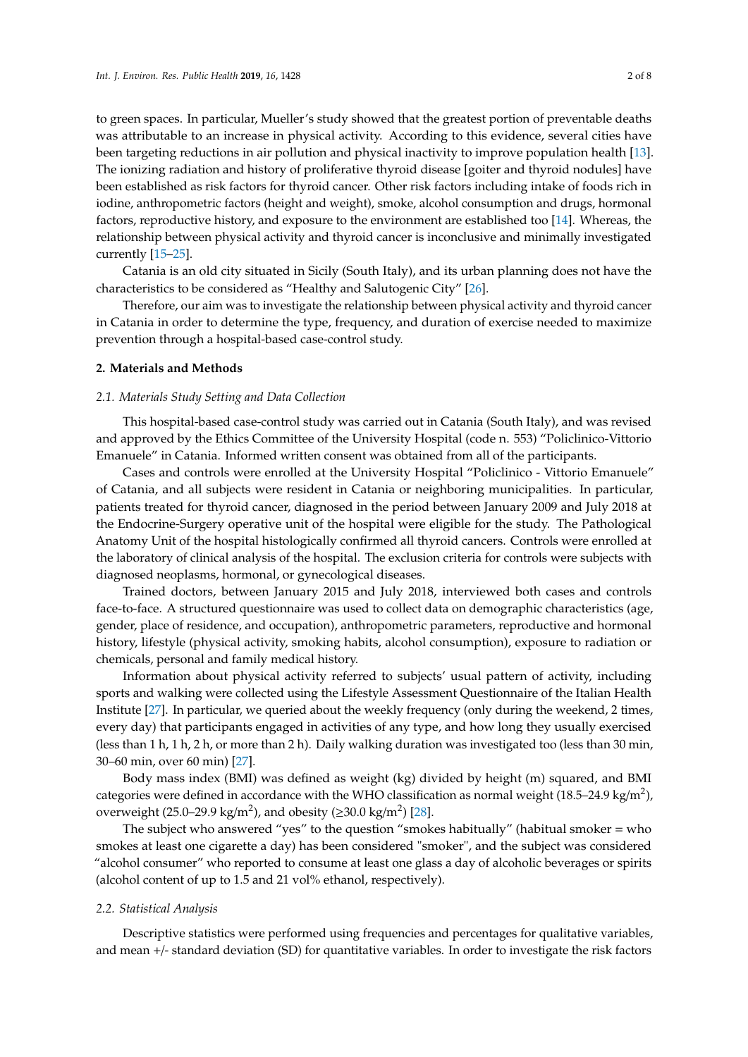to green spaces. In particular, Mueller's study showed that the greatest portion of preventable deaths was attributable to an increase in physical activity. According to this evidence, several cities have been targeting reductions in air pollution and physical inactivity to improve population health [\[13\]](#page-6-2). The ionizing radiation and history of proliferative thyroid disease [goiter and thyroid nodules] have been established as risk factors for thyroid cancer. Other risk factors including intake of foods rich in iodine, anthropometric factors (height and weight), smoke, alcohol consumption and drugs, hormonal factors, reproductive history, and exposure to the environment are established too [\[14\]](#page-6-3). Whereas, the relationship between physical activity and thyroid cancer is inconclusive and minimally investigated currently [\[15–](#page-6-4)[25\]](#page-6-5).

Catania is an old city situated in Sicily (South Italy), and its urban planning does not have the characteristics to be considered as "Healthy and Salutogenic City" [\[26\]](#page-6-6).

Therefore, our aim was to investigate the relationship between physical activity and thyroid cancer in Catania in order to determine the type, frequency, and duration of exercise needed to maximize prevention through a hospital-based case-control study.

#### **2. Materials and Methods**

## *2.1. Materials Study Setting and Data Collection*

This hospital-based case-control study was carried out in Catania (South Italy), and was revised and approved by the Ethics Committee of the University Hospital (code n. 553) "Policlinico-Vittorio Emanuele" in Catania. Informed written consent was obtained from all of the participants.

Cases and controls were enrolled at the University Hospital "Policlinico - Vittorio Emanuele" of Catania, and all subjects were resident in Catania or neighboring municipalities. In particular, patients treated for thyroid cancer, diagnosed in the period between January 2009 and July 2018 at the Endocrine-Surgery operative unit of the hospital were eligible for the study. The Pathological Anatomy Unit of the hospital histologically confirmed all thyroid cancers. Controls were enrolled at the laboratory of clinical analysis of the hospital. The exclusion criteria for controls were subjects with diagnosed neoplasms, hormonal, or gynecological diseases.

Trained doctors, between January 2015 and July 2018, interviewed both cases and controls face-to-face. A structured questionnaire was used to collect data on demographic characteristics (age, gender, place of residence, and occupation), anthropometric parameters, reproductive and hormonal history, lifestyle (physical activity, smoking habits, alcohol consumption), exposure to radiation or chemicals, personal and family medical history.

Information about physical activity referred to subjects' usual pattern of activity, including sports and walking were collected using the Lifestyle Assessment Questionnaire of the Italian Health Institute [\[27\]](#page-6-7). In particular, we queried about the weekly frequency (only during the weekend, 2 times, every day) that participants engaged in activities of any type, and how long they usually exercised (less than 1 h, 1 h, 2 h, or more than 2 h). Daily walking duration was investigated too (less than 30 min, 30–60 min, over 60 min) [\[27\]](#page-6-7).

Body mass index (BMI) was defined as weight (kg) divided by height (m) squared, and BMI categories were defined in accordance with the WHO classification as normal weight (18.5–24.9 kg/m<sup>2</sup>), overweight (25.0–29.9 kg/m<sup>2</sup>), and obesity ( $\geq$ 30.0 kg/m<sup>2</sup>) [\[28\]](#page-6-8).

The subject who answered "yes" to the question "smokes habitually" (habitual smoker  $=$  who smokes at least one cigarette a day) has been considered "smoker", and the subject was considered "alcohol consumer" who reported to consume at least one glass a day of alcoholic beverages or spirits (alcohol content of up to 1.5 and 21 vol% ethanol, respectively).

#### *2.2. Statistical Analysis*

Descriptive statistics were performed using frequencies and percentages for qualitative variables, and mean +/- standard deviation (SD) for quantitative variables. In order to investigate the risk factors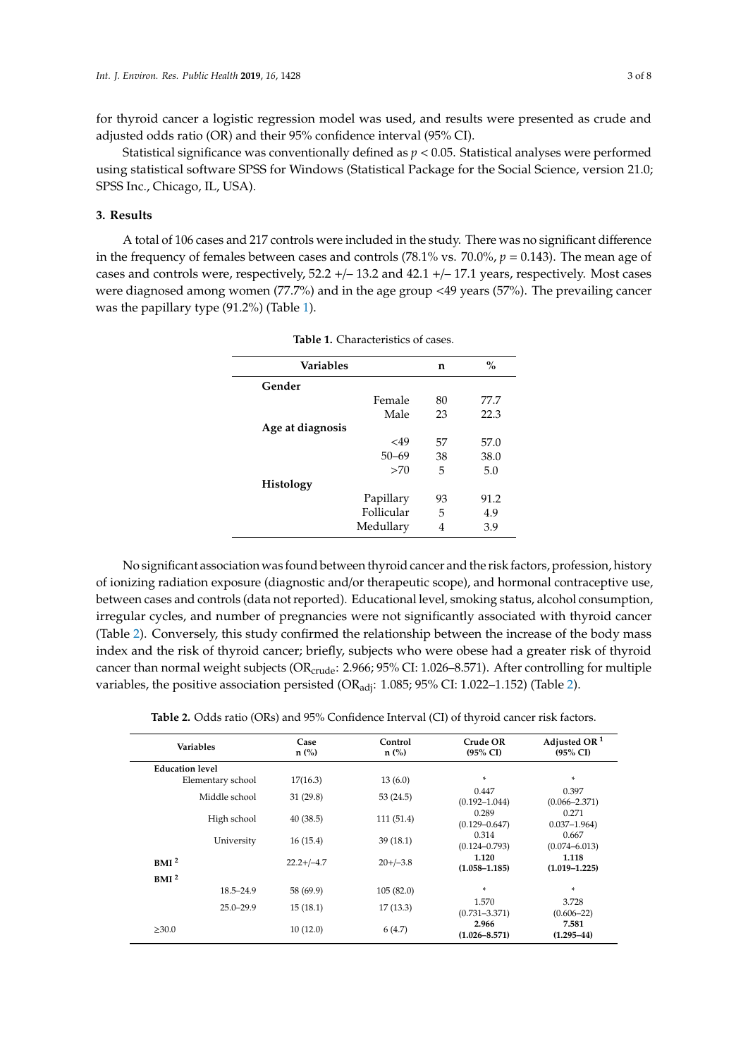for thyroid cancer a logistic regression model was used, and results were presented as crude and adjusted odds ratio (OR) and their 95% confidence interval (95% CI).

Statistical significance was conventionally defined as *p* < 0.05. Statistical analyses were performed using statistical software SPSS for Windows (Statistical Package for the Social Science, version 21.0; SPSS Inc., Chicago, IL, USA).

## **3. Results**

<span id="page-2-0"></span>A total of 106 cases and 217 controls were included in the study. There was no significant difference in the frequency of females between cases and controls (78.1% vs. 70.0%, *p* = 0.143). The mean age of cases and controls were, respectively, 52.2 +/– 13.2 and 42.1 +/– 17.1 years, respectively. Most cases were diagnosed among women (77.7%) and in the age group <49 years (57%). The prevailing cancer was the papillary type (91.2%) (Table [1\)](#page-2-0).

| <b>Variables</b> | n               | $\frac{0}{0}$ |  |
|------------------|-----------------|---------------|--|
| Gender           |                 |               |  |
|                  | Female<br>80    | 77.7          |  |
|                  | Male<br>23      | 22.3          |  |
| Age at diagnosis |                 |               |  |
|                  | 57<br>$<$ 49    | 57.0          |  |
|                  | 38<br>$50 - 69$ | 38.0          |  |
|                  | >70<br>5        | 5.0           |  |
| Histology        |                 |               |  |
|                  | Papillary<br>93 | 91.2          |  |
|                  | Follicular<br>5 | 4.9           |  |
|                  | Medullary<br>4  | 3.9           |  |

**Table 1.** Characteristics of cases.

No significant association was found between thyroid cancer and the risk factors, profession, history of ionizing radiation exposure (diagnostic and/or therapeutic scope), and hormonal contraceptive use, between cases and controls (data not reported). Educational level, smoking status, alcohol consumption, irregular cycles, and number of pregnancies were not significantly associated with thyroid cancer (Table [2\)](#page-3-0). Conversely, this study confirmed the relationship between the increase of the body mass index and the risk of thyroid cancer; briefly, subjects who were obese had a greater risk of thyroid cancer than normal weight subjects ( $OR_{crude}$ : 2.966; 95% CI: 1.026–8.571). After controlling for multiple variables, the positive association persisted ( $OR_{\text{adj}}$ : 1.085; 95% CI: 1.022–1.15[2\)](#page-3-0) (Table 2).

**Table 2.** Odds ratio (ORs) and 95% Confidence Interval (CI) of thyroid cancer risk factors.

| Variables              | Case<br>$n$ (%) | Control<br>$n$ (%) | Crude OR<br>$(95\% \text{ CI})$ | Adjusted OR $1$<br>$(95\% \text{ CI})$ |
|------------------------|-----------------|--------------------|---------------------------------|----------------------------------------|
| <b>Education level</b> |                 |                    |                                 |                                        |
| Elementary school      | 17(16.3)        | 13(6.0)            | $\mathbf{x}_t$                  | *                                      |
| Middle school          | 31(29.8)        | 53(24.5)           | 0.447<br>$(0.192 - 1.044)$      | 0.397<br>$(0.066 - 2.371)$             |
| High school            | 40(38.5)        | 111(51.4)          | 0.289<br>$(0.129 - 0.647)$      | 0.271<br>$0.037 - 1.964$               |
| University             | 16(15.4)        | 39(18.1)           | 0.314<br>$(0.124 - 0.793)$      | 0.667<br>$(0.074 - 6.013)$             |
| BMI <sup>2</sup>       | $22.2+/-4.7$    | $20+/-3.8$         | 1.120<br>$(1.058 - 1.185)$      | 1.118<br>$(1.019 - 1.225)$             |
| BMI <sup>2</sup>       |                 |                    |                                 |                                        |
| $18.5 - 24.9$          | 58 (69.9)       | 105(82.0)          | $\mathbf{x}_t$                  | *                                      |
| $25.0 - 29.9$          | 15(18.1)        | 17(13.3)           | 1.570<br>$(0.731 - 3.371)$      | 3.728<br>$(0.606 - 22)$                |
| >30.0                  | 10(12.0)        | 6(4.7)             | 2.966<br>$(1.026 - 8.571)$      | 7.581<br>$(1.295 - 44)$                |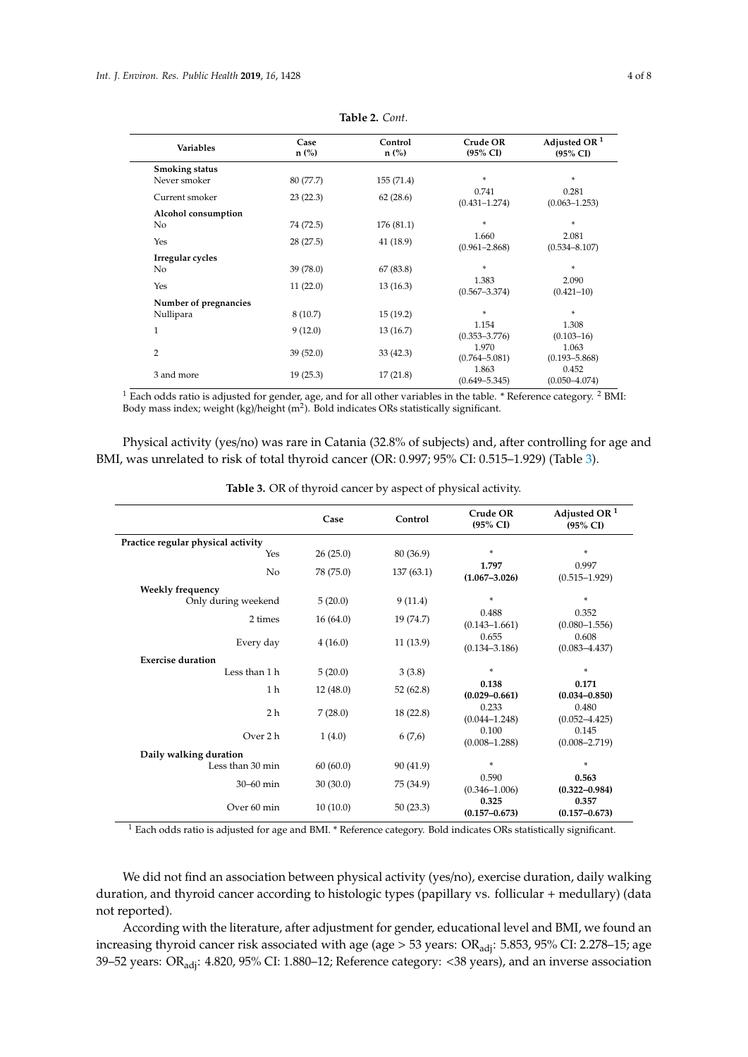<span id="page-3-0"></span>

| <b>Variables</b>      | Case<br>$n$ (%) | Control<br>$n$ (%) | Crude OR<br>$(95\% \text{ CI})$ | Adjusted OR $1$<br>$(95\% \text{ CI})$ |
|-----------------------|-----------------|--------------------|---------------------------------|----------------------------------------|
| Smoking status        |                 |                    |                                 |                                        |
| Never smoker          | 80 (77.7)       | 155(71.4)          | $\mathbf{x}_t$                  | *                                      |
| Current smoker        | 23(22.3)        | 62(28.6)           | 0.741<br>$(0.431 - 1.274)$      | 0.281<br>$(0.063 - 1.253)$             |
| Alcohol consumption   |                 |                    |                                 |                                        |
| No.                   | 74 (72.5)       | 176 (81.1)         | *                               | ×.                                     |
| Yes                   | 28(27.5)        | 41 (18.9)          | 1.660<br>$(0.961 - 2.868)$      | 2.081<br>$(0.534 - 8.107)$             |
| Irregular cycles      |                 |                    |                                 |                                        |
| No                    | 39 (78.0)       | 67(83.8)           | ×                               | *                                      |
| Yes                   | 11(22.0)        | 13(16.3)           | 1.383<br>$(0.567 - 3.374)$      | 2.090<br>$(0.421 - 10)$                |
| Number of pregnancies |                 |                    |                                 |                                        |
| Nullipara             | 8(10.7)         | 15(19.2)           | *                               | *                                      |
| $\mathbf{1}$          | 9(12.0)         | 13(16.7)           | 1.154<br>$(0.353 - 3.776)$      | 1.308<br>$(0.103 - 16)$                |
| $\overline{2}$        | 39(52.0)        | 33 (42.3)          | 1.970<br>$(0.764 - 5.081)$      | 1.063<br>$(0.193 - 5.868)$             |
| 3 and more            | 19(25.3)        | 17(21.8)           | 1.863<br>$(0.649 - 5.345)$      | 0.452<br>$(0.050 - 4.074)$             |

**Table 2.** *Cont.*

 $1$  Each odds ratio is adjusted for gender, age, and for all other variables in the table. \* Reference category. <sup>2</sup> BMI: Body mass index; weight (kg)/height (m<sup>2</sup>). Bold indicates ORs statistically significant.

Physical activity (yes/no) was rare in Catania (32.8% of subjects) and, after controlling for age and BMI, was unrelated to risk of total thyroid cancer (OR: 0.997; 95% CI: 0.515–1.929) (Table [3\)](#page-3-1).

<span id="page-3-1"></span>

|                                    | Case      | Control   | Crude OR                   | Adjusted OR $1$            |
|------------------------------------|-----------|-----------|----------------------------|----------------------------|
|                                    |           |           | $(95\% \text{ CI})$        | $(95\% \text{ CI})$        |
| Practice regular physical activity |           |           |                            |                            |
| Yes                                | 26(25.0)  | 80 (36.9) | $\ast$                     | *                          |
| No                                 | 78 (75.0) | 137(63.1) | 1.797<br>$(1.067 - 3.026)$ | 0.997<br>$(0.515 - 1.929)$ |
| Weekly frequency                   |           |           |                            |                            |
| Only during weekend                | 5(20.0)   | 9(11.4)   | $\ast$                     | ×.                         |
| 2 times                            | 16(64.0)  | 19 (74.7) | 0.488<br>$(0.143 - 1.661)$ | 0.352<br>$(0.080 - 1.556)$ |
| Every day                          | 4(16.0)   | 11(13.9)  | 0.655<br>$(0.134 - 3.186)$ | 0.608<br>$(0.083 - 4.437)$ |
| <b>Exercise duration</b>           |           |           |                            |                            |
| Less than 1 h                      | 5(20.0)   | 3(3.8)    | $\ast$                     | ×.                         |
| 1 h                                | 12(48.0)  | 52(62.8)  | 0.138<br>$(0.029 - 0.661)$ | 0.171<br>$(0.034 - 0.850)$ |
| 2 <sub>h</sub>                     | 7(28.0)   | 18(22.8)  | 0.233<br>$(0.044 - 1.248)$ | 0.480<br>$(0.052 - 4.425)$ |
| Over 2 h                           | 1(4.0)    | 6(7,6)    | 0.100<br>$(0.008 - 1.288)$ | 0.145<br>$(0.008 - 2.719)$ |
| Daily walking duration             |           |           |                            |                            |
| Less than 30 min                   | 60(60.0)  | 90 (41.9) | $\ast$                     | *                          |
| 30-60 min                          | 30(30.0)  | 75 (34.9) | 0.590<br>$(0.346 - 1.006)$ | 0.563<br>$(0.322 - 0.984)$ |
| Over 60 min                        | 10(10.0)  | 50(23.3)  | 0.325<br>$(0.157 - 0.673)$ | 0.357<br>$(0.157 - 0.673)$ |

**Table 3.** OR of thyroid cancer by aspect of physical activity.

<sup>1</sup> Each odds ratio is adjusted for age and BMI. \* Reference category. Bold indicates ORs statistically significant.

We did not find an association between physical activity (yes/no), exercise duration, daily walking duration, and thyroid cancer according to histologic types (papillary vs. follicular + medullary) (data not reported).

According with the literature, after adjustment for gender, educational level and BMI, we found an increasing thyroid cancer risk associated with age (age > 53 years: OR<sub>adj</sub>: 5.853, 95% CI: 2.278-15; age 39–52 years: ORadj: 4.820, 95% CI: 1.880–12; Reference category: <38 years), and an inverse association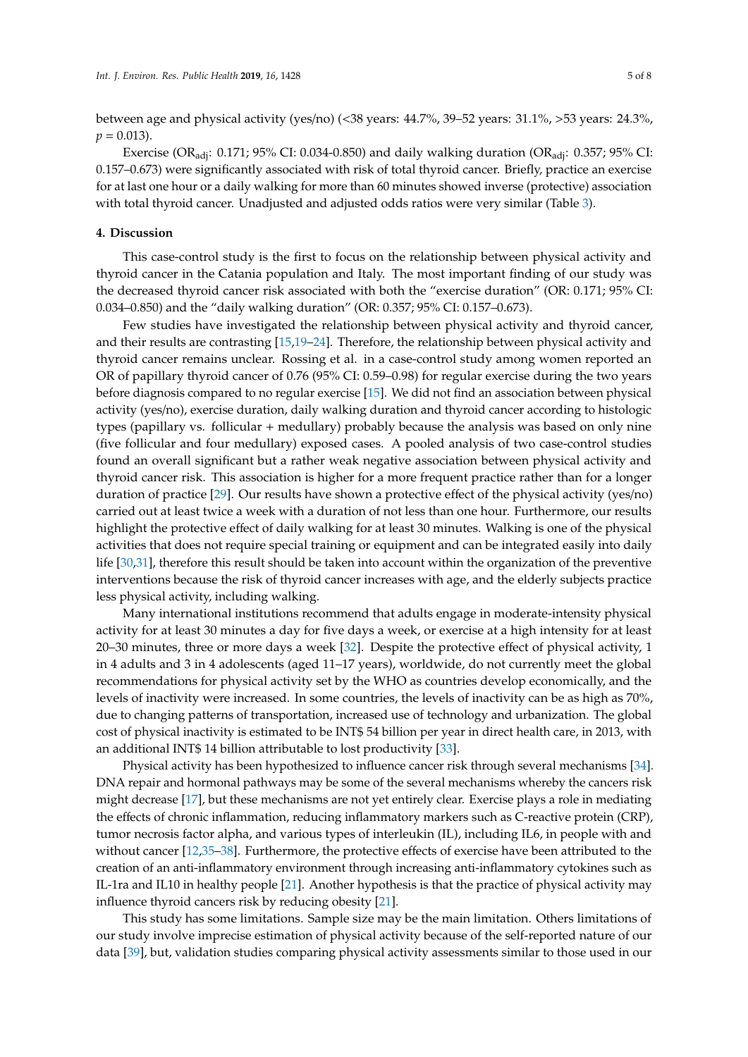between age and physical activity (yes/no) (<38 years: 44.7%, 39–52 years: 31.1%, >53 years: 24.3%,  $p = 0.013$ .

Exercise (OR<sub>adi</sub>: 0.171; 95% CI: 0.034-0.850) and daily walking duration (OR<sub>adi</sub>: 0.357; 95% CI: 0.157–0.673) were significantly associated with risk of total thyroid cancer. Briefly, practice an exercise for at last one hour or a daily walking for more than 60 minutes showed inverse (protective) association with total thyroid cancer. Unadjusted and adjusted odds ratios were very similar (Table [3\)](#page-3-1).

## **4. Discussion**

This case-control study is the first to focus on the relationship between physical activity and thyroid cancer in the Catania population and Italy. The most important finding of our study was the decreased thyroid cancer risk associated with both the "exercise duration" (OR: 0.171; 95% CI: 0.034–0.850) and the "daily walking duration" (OR: 0.357; 95% CI: 0.157–0.673).

Few studies have investigated the relationship between physical activity and thyroid cancer, and their results are contrasting [\[15](#page-6-4)[,19](#page-6-9)[–24\]](#page-6-10). Therefore, the relationship between physical activity and thyroid cancer remains unclear. Rossing et al. in a case-control study among women reported an OR of papillary thyroid cancer of 0.76 (95% CI: 0.59–0.98) for regular exercise during the two years before diagnosis compared to no regular exercise [\[15\]](#page-6-4). We did not find an association between physical activity (yes/no), exercise duration, daily walking duration and thyroid cancer according to histologic types (papillary vs. follicular + medullary) probably because the analysis was based on only nine (five follicular and four medullary) exposed cases. A pooled analysis of two case-control studies found an overall significant but a rather weak negative association between physical activity and thyroid cancer risk. This association is higher for a more frequent practice rather than for a longer duration of practice [\[29\]](#page-6-11). Our results have shown a protective effect of the physical activity (yes/no) carried out at least twice a week with a duration of not less than one hour. Furthermore, our results highlight the protective effect of daily walking for at least 30 minutes. Walking is one of the physical activities that does not require special training or equipment and can be integrated easily into daily life [\[30](#page-6-12)[,31\]](#page-7-0), therefore this result should be taken into account within the organization of the preventive interventions because the risk of thyroid cancer increases with age, and the elderly subjects practice less physical activity, including walking.

Many international institutions recommend that adults engage in moderate-intensity physical activity for at least 30 minutes a day for five days a week, or exercise at a high intensity for at least 20–30 minutes, three or more days a week [\[32\]](#page-7-1). Despite the protective effect of physical activity, 1 in 4 adults and 3 in 4 adolescents (aged 11–17 years), worldwide, do not currently meet the global recommendations for physical activity set by the WHO as countries develop economically, and the levels of inactivity were increased. In some countries, the levels of inactivity can be as high as 70%, due to changing patterns of transportation, increased use of technology and urbanization. The global cost of physical inactivity is estimated to be INT\$ 54 billion per year in direct health care, in 2013, with an additional INT\$ 14 billion attributable to lost productivity [\[33\]](#page-7-2).

Physical activity has been hypothesized to influence cancer risk through several mechanisms [\[34\]](#page-7-3). DNA repair and hormonal pathways may be some of the several mechanisms whereby the cancers risk might decrease [\[17\]](#page-6-13), but these mechanisms are not yet entirely clear. Exercise plays a role in mediating the effects of chronic inflammation, reducing inflammatory markers such as C-reactive protein (CRP), tumor necrosis factor alpha, and various types of interleukin (IL), including IL6, in people with and without cancer [\[12](#page-6-1)[,35–](#page-7-4)[38\]](#page-7-5). Furthermore, the protective effects of exercise have been attributed to the creation of an anti-inflammatory environment through increasing anti-inflammatory cytokines such as IL-1ra and IL10 in healthy people [\[21\]](#page-6-14). Another hypothesis is that the practice of physical activity may influence thyroid cancers risk by reducing obesity [\[21\]](#page-6-14).

This study has some limitations. Sample size may be the main limitation. Others limitations of our study involve imprecise estimation of physical activity because of the self-reported nature of our data [\[39\]](#page-7-6), but, validation studies comparing physical activity assessments similar to those used in our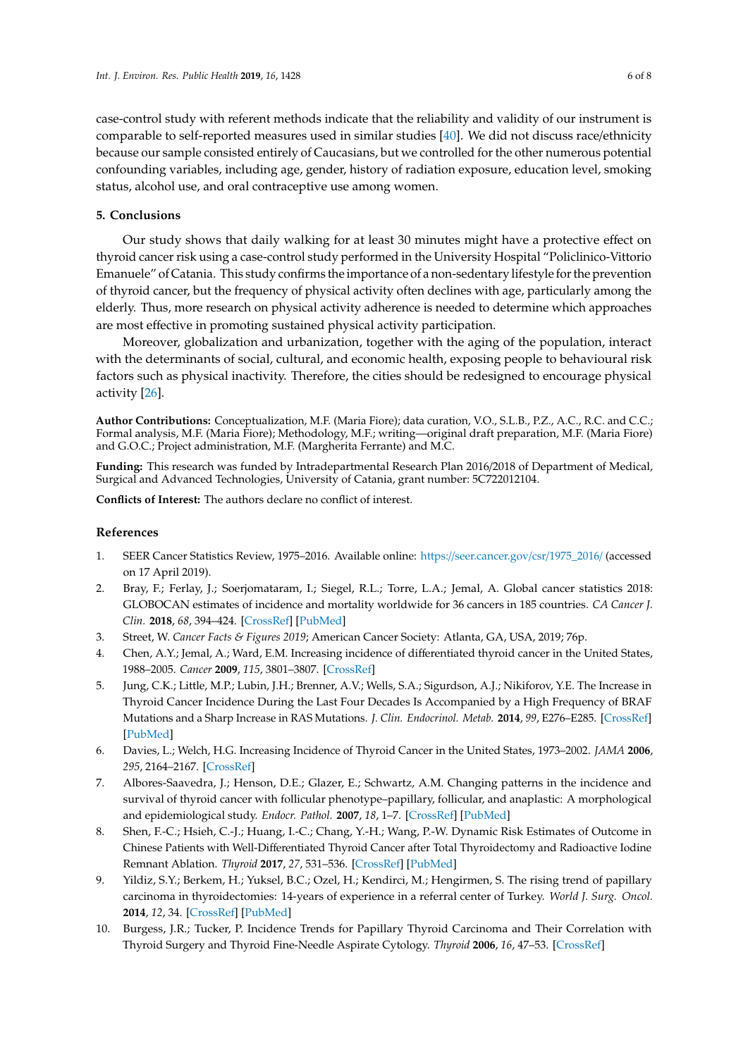case-control study with referent methods indicate that the reliability and validity of our instrument is comparable to self-reported measures used in similar studies [\[40\]](#page-7-7). We did not discuss race/ethnicity because our sample consisted entirely of Caucasians, but we controlled for the other numerous potential confounding variables, including age, gender, history of radiation exposure, education level, smoking status, alcohol use, and oral contraceptive use among women.

## **5. Conclusions**

Our study shows that daily walking for at least 30 minutes might have a protective effect on thyroid cancer risk using a case-control study performed in the University Hospital "Policlinico-Vittorio Emanuele" of Catania. This study confirms the importance of a non-sedentary lifestyle for the prevention of thyroid cancer, but the frequency of physical activity often declines with age, particularly among the elderly. Thus, more research on physical activity adherence is needed to determine which approaches are most effective in promoting sustained physical activity participation.

Moreover, globalization and urbanization, together with the aging of the population, interact with the determinants of social, cultural, and economic health, exposing people to behavioural risk factors such as physical inactivity. Therefore, the cities should be redesigned to encourage physical activity [\[26\]](#page-6-6).

**Author Contributions:** Conceptualization, M.F. (Maria Fiore); data curation, V.O., S.L.B., P.Z., A.C., R.C. and C.C.; Formal analysis, M.F. (Maria Fiore); Methodology, M.F.; writing—original draft preparation, M.F. (Maria Fiore) and G.O.C.; Project administration, M.F. (Margherita Ferrante) and M.C.

**Funding:** This research was funded by Intradepartmental Research Plan 2016/2018 of Department of Medical, Surgical and Advanced Technologies, University of Catania, grant number: 5C722012104.

**Conflicts of Interest:** The authors declare no conflict of interest.

## **References**

- <span id="page-5-0"></span>1. SEER Cancer Statistics Review, 1975–2016. Available online: https://[seer.cancer.gov](https://seer.cancer.gov/csr/1975_2016/)/csr/1975\_2016/ (accessed on 17 April 2019).
- <span id="page-5-4"></span>2. Bray, F.; Ferlay, J.; Soerjomataram, I.; Siegel, R.L.; Torre, L.A.; Jemal, A. Global cancer statistics 2018: GLOBOCAN estimates of incidence and mortality worldwide for 36 cancers in 185 countries. *CA Cancer J. Clin.* **2018**, *68*, 394–424. [\[CrossRef\]](http://dx.doi.org/10.3322/caac.21492) [\[PubMed\]](http://www.ncbi.nlm.nih.gov/pubmed/30207593)
- <span id="page-5-1"></span>3. Street, W. *Cancer Facts & Figures 2019*; American Cancer Society: Atlanta, GA, USA, 2019; 76p.
- <span id="page-5-2"></span>4. Chen, A.Y.; Jemal, A.; Ward, E.M. Increasing incidence of differentiated thyroid cancer in the United States, 1988–2005. *Cancer* **2009**, *115*, 3801–3807. [\[CrossRef\]](http://dx.doi.org/10.1002/cncr.24416)
- 5. Jung, C.K.; Little, M.P.; Lubin, J.H.; Brenner, A.V.; Wells, S.A.; Sigurdson, A.J.; Nikiforov, Y.E. The Increase in Thyroid Cancer Incidence During the Last Four Decades Is Accompanied by a High Frequency of BRAF Mutations and a Sharp Increase in RAS Mutations. *J. Clin. Endocrinol. Metab.* **2014**, *99*, E276–E285. [\[CrossRef\]](http://dx.doi.org/10.1210/jc.2013-2503) [\[PubMed\]](http://www.ncbi.nlm.nih.gov/pubmed/24248188)
- 6. Davies, L.; Welch, H.G. Increasing Incidence of Thyroid Cancer in the United States, 1973–2002. *JAMA* **2006**, *295*, 2164–2167. [\[CrossRef\]](http://dx.doi.org/10.1001/jama.295.18.2164)
- 7. Albores-Saavedra, J.; Henson, D.E.; Glazer, E.; Schwartz, A.M. Changing patterns in the incidence and survival of thyroid cancer with follicular phenotype–papillary, follicular, and anaplastic: A morphological and epidemiological study. *Endocr. Pathol.* **2007**, *18*, 1–7. [\[CrossRef\]](http://dx.doi.org/10.1007/s12022-007-0002-z) [\[PubMed\]](http://www.ncbi.nlm.nih.gov/pubmed/17652794)
- 8. Shen, F.-C.; Hsieh, C.-J.; Huang, I.-C.; Chang, Y.-H.; Wang, P.-W. Dynamic Risk Estimates of Outcome in Chinese Patients with Well-Differentiated Thyroid Cancer after Total Thyroidectomy and Radioactive Iodine Remnant Ablation. *Thyroid* **2017**, *27*, 531–536. [\[CrossRef\]](http://dx.doi.org/10.1089/thy.2016.0479) [\[PubMed\]](http://www.ncbi.nlm.nih.gov/pubmed/28007013)
- 9. Yildiz, S.Y.; Berkem, H.; Yuksel, B.C.; Ozel, H.; Kendirci, M.; Hengirmen, S. The rising trend of papillary carcinoma in thyroidectomies: 14-years of experience in a referral center of Turkey. *World J. Surg. Oncol.* **2014**, *12*, 34. [\[CrossRef\]](http://dx.doi.org/10.1186/1477-7819-12-34) [\[PubMed\]](http://www.ncbi.nlm.nih.gov/pubmed/24512315)
- <span id="page-5-3"></span>10. Burgess, J.R.; Tucker, P. Incidence Trends for Papillary Thyroid Carcinoma and Their Correlation with Thyroid Surgery and Thyroid Fine-Needle Aspirate Cytology. *Thyroid* **2006**, *16*, 47–53. [\[CrossRef\]](http://dx.doi.org/10.1089/thy.2006.16.47)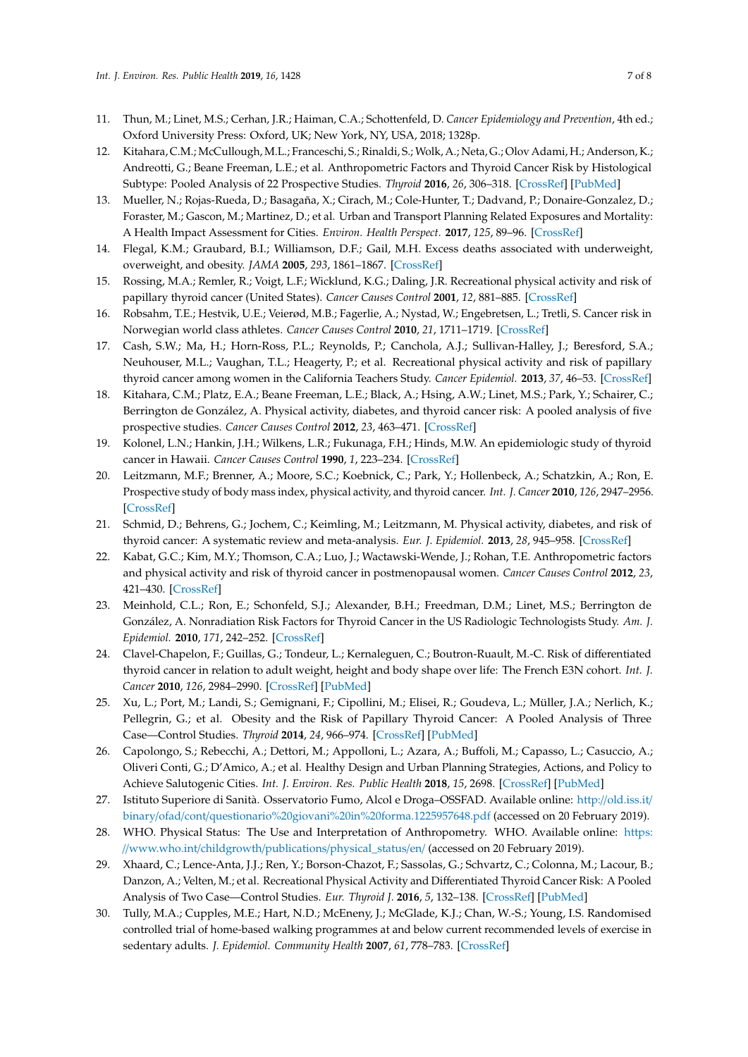- <span id="page-6-0"></span>11. Thun, M.; Linet, M.S.; Cerhan, J.R.; Haiman, C.A.; Schottenfeld, D. *Cancer Epidemiology and Prevention*, 4th ed.; Oxford University Press: Oxford, UK; New York, NY, USA, 2018; 1328p.
- <span id="page-6-1"></span>12. Kitahara, C.M.; McCullough,M.L.; Franceschi, S.; Rinaldi, S.; Wolk, A.; Neta, G.; Olov Adami, H.; Anderson, K.; Andreotti, G.; Beane Freeman, L.E.; et al. Anthropometric Factors and Thyroid Cancer Risk by Histological Subtype: Pooled Analysis of 22 Prospective Studies. *Thyroid* **2016**, *26*, 306–318. [\[CrossRef\]](http://dx.doi.org/10.1089/thy.2015.0319) [\[PubMed\]](http://www.ncbi.nlm.nih.gov/pubmed/26756356)
- <span id="page-6-2"></span>13. Mueller, N.; Rojas-Rueda, D.; Basagaña, X.; Cirach, M.; Cole-Hunter, T.; Dadvand, P.; Donaire-Gonzalez, D.; Foraster, M.; Gascon, M.; Martinez, D.; et al. Urban and Transport Planning Related Exposures and Mortality: A Health Impact Assessment for Cities. *Environ. Health Perspect.* **2017**, *125*, 89–96. [\[CrossRef\]](http://dx.doi.org/10.1289/EHP220)
- <span id="page-6-3"></span>14. Flegal, K.M.; Graubard, B.I.; Williamson, D.F.; Gail, M.H. Excess deaths associated with underweight, overweight, and obesity. *JAMA* **2005**, *293*, 1861–1867. [\[CrossRef\]](http://dx.doi.org/10.1001/jama.293.15.1861)
- <span id="page-6-4"></span>15. Rossing, M.A.; Remler, R.; Voigt, L.F.; Wicklund, K.G.; Daling, J.R. Recreational physical activity and risk of papillary thyroid cancer (United States). *Cancer Causes Control* **2001**, *12*, 881–885. [\[CrossRef\]](http://dx.doi.org/10.1023/A:1013757030600)
- 16. Robsahm, T.E.; Hestvik, U.E.; Veierød, M.B.; Fagerlie, A.; Nystad, W.; Engebretsen, L.; Tretli, S. Cancer risk in Norwegian world class athletes. *Cancer Causes Control* **2010**, *21*, 1711–1719. [\[CrossRef\]](http://dx.doi.org/10.1007/s10552-010-9600-z)
- <span id="page-6-13"></span>17. Cash, S.W.; Ma, H.; Horn-Ross, P.L.; Reynolds, P.; Canchola, A.J.; Sullivan-Halley, J.; Beresford, S.A.; Neuhouser, M.L.; Vaughan, T.L.; Heagerty, P.; et al. Recreational physical activity and risk of papillary thyroid cancer among women in the California Teachers Study. *Cancer Epidemiol.* **2013**, *37*, 46–53. [\[CrossRef\]](http://dx.doi.org/10.1016/j.canep.2012.09.003)
- 18. Kitahara, C.M.; Platz, E.A.; Beane Freeman, L.E.; Black, A.; Hsing, A.W.; Linet, M.S.; Park, Y.; Schairer, C.; Berrington de González, A. Physical activity, diabetes, and thyroid cancer risk: A pooled analysis of five prospective studies. *Cancer Causes Control* **2012**, *23*, 463–471. [\[CrossRef\]](http://dx.doi.org/10.1007/s10552-012-9896-y)
- <span id="page-6-9"></span>19. Kolonel, L.N.; Hankin, J.H.; Wilkens, L.R.; Fukunaga, F.H.; Hinds, M.W. An epidemiologic study of thyroid cancer in Hawaii. *Cancer Causes Control* **1990**, *1*, 223–234. [\[CrossRef\]](http://dx.doi.org/10.1007/BF00117474)
- 20. Leitzmann, M.F.; Brenner, A.; Moore, S.C.; Koebnick, C.; Park, Y.; Hollenbeck, A.; Schatzkin, A.; Ron, E. Prospective study of body mass index, physical activity, and thyroid cancer. *Int. J. Cancer* **2010**, *126*, 2947–2956. [\[CrossRef\]](http://dx.doi.org/10.1002/ijc.24913)
- <span id="page-6-14"></span>21. Schmid, D.; Behrens, G.; Jochem, C.; Keimling, M.; Leitzmann, M. Physical activity, diabetes, and risk of thyroid cancer: A systematic review and meta-analysis. *Eur. J. Epidemiol.* **2013**, *28*, 945–958. [\[CrossRef\]](http://dx.doi.org/10.1007/s10654-013-9865-0)
- 22. Kabat, G.C.; Kim, M.Y.; Thomson, C.A.; Luo, J.; Wactawski-Wende, J.; Rohan, T.E. Anthropometric factors and physical activity and risk of thyroid cancer in postmenopausal women. *Cancer Causes Control* **2012**, *23*, 421–430. [\[CrossRef\]](http://dx.doi.org/10.1007/s10552-011-9890-9)
- 23. Meinhold, C.L.; Ron, E.; Schonfeld, S.J.; Alexander, B.H.; Freedman, D.M.; Linet, M.S.; Berrington de González, A. Nonradiation Risk Factors for Thyroid Cancer in the US Radiologic Technologists Study. *Am. J. Epidemiol.* **2010**, *171*, 242–252. [\[CrossRef\]](http://dx.doi.org/10.1093/aje/kwp354)
- <span id="page-6-10"></span>24. Clavel-Chapelon, F.; Guillas, G.; Tondeur, L.; Kernaleguen, C.; Boutron-Ruault, M.-C. Risk of differentiated thyroid cancer in relation to adult weight, height and body shape over life: The French E3N cohort. *Int. J. Cancer* **2010**, *126*, 2984–2990. [\[CrossRef\]](http://dx.doi.org/10.1002/ijc.25066) [\[PubMed\]](http://www.ncbi.nlm.nih.gov/pubmed/19950225)
- <span id="page-6-5"></span>25. Xu, L.; Port, M.; Landi, S.; Gemignani, F.; Cipollini, M.; Elisei, R.; Goudeva, L.; Müller, J.A.; Nerlich, K.; Pellegrin, G.; et al. Obesity and the Risk of Papillary Thyroid Cancer: A Pooled Analysis of Three Case—Control Studies. *Thyroid* **2014**, *24*, 966–974. [\[CrossRef\]](http://dx.doi.org/10.1089/thy.2013.0566) [\[PubMed\]](http://www.ncbi.nlm.nih.gov/pubmed/24555500)
- <span id="page-6-6"></span>26. Capolongo, S.; Rebecchi, A.; Dettori, M.; Appolloni, L.; Azara, A.; Buffoli, M.; Capasso, L.; Casuccio, A.; Oliveri Conti, G.; D'Amico, A.; et al. Healthy Design and Urban Planning Strategies, Actions, and Policy to Achieve Salutogenic Cities. *Int. J. Environ. Res. Public Health* **2018**, *15*, 2698. [\[CrossRef\]](http://dx.doi.org/10.3390/ijerph15122698) [\[PubMed\]](http://www.ncbi.nlm.nih.gov/pubmed/30501119)
- <span id="page-6-7"></span>27. Istituto Superiore di Sanità. Osservatorio Fumo, Alcol e Droga–OSSFAD. Available online: http://[old.iss.it](http://old.iss.it/binary/ofad/cont/questionario%20giovani%20in%20forma.1225957648.pdf)/ binary/ofad/cont/[questionario%20giovani%20in%20forma.1225957648.pdf](http://old.iss.it/binary/ofad/cont/questionario%20giovani%20in%20forma.1225957648.pdf) (accessed on 20 February 2019).
- <span id="page-6-8"></span>28. WHO. Physical Status: The Use and Interpretation of Anthropometry. WHO. Available online: [https:](https://www.who.int/childgrowth/publications/physical_status/en/) //www.who.int/childgrowth/publications/[physical\\_status](https://www.who.int/childgrowth/publications/physical_status/en/)/en/ (accessed on 20 February 2019).
- <span id="page-6-11"></span>29. Xhaard, C.; Lence-Anta, J.J.; Ren, Y.; Borson-Chazot, F.; Sassolas, G.; Schvartz, C.; Colonna, M.; Lacour, B.; Danzon, A.; Velten, M.; et al. Recreational Physical Activity and Differentiated Thyroid Cancer Risk: A Pooled Analysis of Two Case—Control Studies. *Eur. Thyroid J.* **2016**, *5*, 132–138. [\[CrossRef\]](http://dx.doi.org/10.1159/000445887) [\[PubMed\]](http://www.ncbi.nlm.nih.gov/pubmed/27493888)
- <span id="page-6-12"></span>30. Tully, M.A.; Cupples, M.E.; Hart, N.D.; McEneny, J.; McGlade, K.J.; Chan, W.-S.; Young, I.S. Randomised controlled trial of home-based walking programmes at and below current recommended levels of exercise in sedentary adults. *J. Epidemiol. Community Health* **2007**, *61*, 778–783. [\[CrossRef\]](http://dx.doi.org/10.1136/jech.2006.053058)